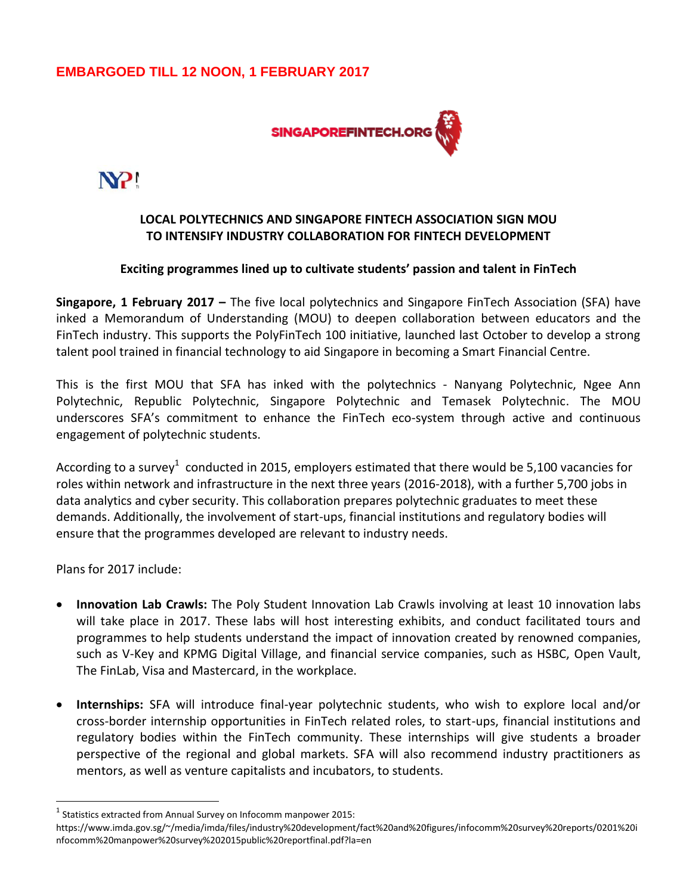# **EMBARGOED TILL 12 NOON, 1 FEBRUARY 2017**



N<sub>2!</sub>

## **LOCAL POLYTECHNICS AND SINGAPORE FINTECH ASSOCIATION SIGN MOU TO INTENSIFY INDUSTRY COLLABORATION FOR FINTECH DEVELOPMENT**

#### **Exciting programmes lined up to cultivate students' passion and talent in FinTech**

**Singapore, 1 February 2017 –** The five local polytechnics and Singapore FinTech Association (SFA) have inked a Memorandum of Understanding (MOU) to deepen collaboration between educators and the FinTech industry. This supports the PolyFinTech 100 initiative, launched last October to develop a strong talent pool trained in financial technology to aid Singapore in becoming a Smart Financial Centre.

This is the first MOU that SFA has inked with the polytechnics - Nanyang Polytechnic, Ngee Ann Polytechnic, Republic Polytechnic, Singapore Polytechnic and Temasek Polytechnic. The MOU underscores SFA's commitment to enhance the FinTech eco-system through active and continuous engagement of polytechnic students.

According to a survey<sup>1</sup> conducted in 2015, employers estimated that there would be 5,100 vacancies for roles within network and infrastructure in the next three years (2016-2018), with a further 5,700 jobs in data analytics and cyber security. This collaboration prepares polytechnic graduates to meet these demands. Additionally, the involvement of start-ups, financial institutions and regulatory bodies will ensure that the programmes developed are relevant to industry needs.

Plans for 2017 include:

 $\overline{a}$ 

- **Innovation Lab Crawls:** The Poly Student Innovation Lab Crawls involving at least 10 innovation labs will take place in 2017. These labs will host interesting exhibits, and conduct facilitated tours and programmes to help students understand the impact of innovation created by renowned companies, such as V-Key and KPMG Digital Village, and financial service companies, such as HSBC, Open Vault, The FinLab, Visa and Mastercard, in the workplace.
- **Internships:** SFA will introduce final-year polytechnic students, who wish to explore local and/or cross-border internship opportunities in FinTech related roles, to start-ups, financial institutions and regulatory bodies within the FinTech community. These internships will give students a broader perspective of the regional and global markets. SFA will also recommend industry practitioners as mentors, as well as venture capitalists and incubators, to students.

 $<sup>1</sup>$  Statistics extracted from Annual Survey on Infocomm manpower 2015:</sup>

https://www.imda.gov.sg/~/media/imda/files/industry%20development/fact%20and%20figures/infocomm%20survey%20reports/0201%20i nfocomm%20manpower%20survey%202015public%20reportfinal.pdf?la=en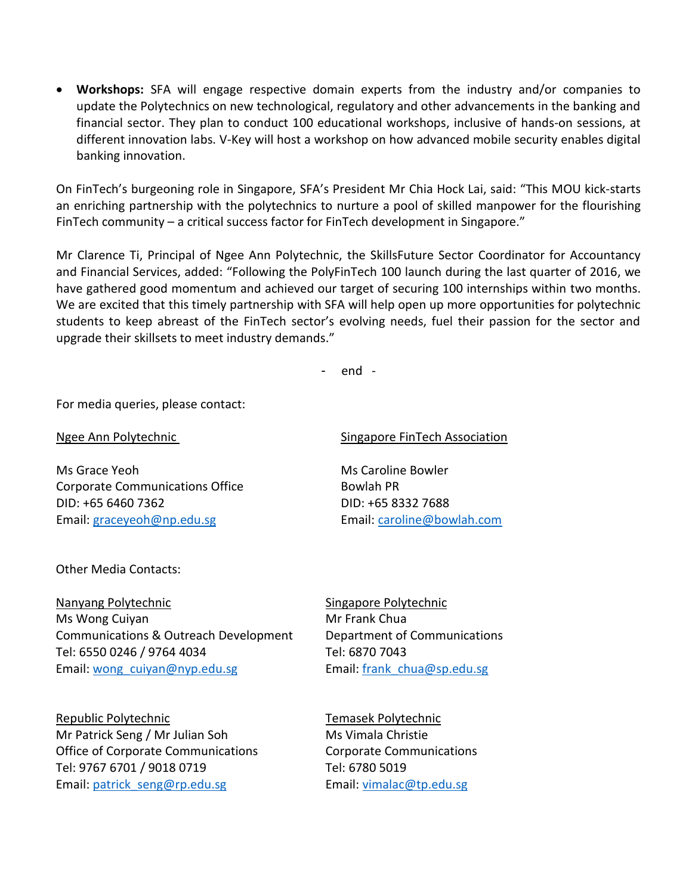**Workshops:** SFA will engage respective domain experts from the industry and/or companies to update the Polytechnics on new technological, regulatory and other advancements in the banking and financial sector. They plan to conduct 100 educational workshops, inclusive of hands-on sessions, at different innovation labs. V-Key will host a workshop on how advanced mobile security enables digital banking innovation.

On FinTech's burgeoning role in Singapore, SFA's President Mr Chia Hock Lai, said: "This MOU kick-starts an enriching partnership with the polytechnics to nurture a pool of skilled manpower for the flourishing FinTech community – a critical success factor for FinTech development in Singapore."

Mr Clarence Ti, Principal of Ngee Ann Polytechnic, the SkillsFuture Sector Coordinator for Accountancy and Financial Services, added: "Following the PolyFinTech 100 launch during the last quarter of 2016, we have gathered good momentum and achieved our target of securing 100 internships within two months. We are excited that this timely partnership with SFA will help open up more opportunities for polytechnic students to keep abreast of the FinTech sector's evolving needs, fuel their passion for the sector and upgrade their skillsets to meet industry demands."

- end -

For media queries, please contact:

Ms Grace Yeoh Ms Caroline Bowler Corporate Communications Office **Bowlah PR** DID: +65 6460 7362 DID: +65 8332 7688 Email: [graceyeoh@np.edu.sg](mailto:graceyeoh@np.edu.sg) Email: [caroline@bowlah.com](mailto:caroline@bowlah.com)

#### Ngee Ann Polytechnic **Singapore FinTech Association**

Other Media Contacts:

Nanyang Polytechnic Singapore Polytechnic Ms Wong Cuiyan Mr Frank Chua Communications & Outreach Development Department of Communications Tel: 6550 0246 / 9764 4034 Tel: 6870 7043 Email: wong cuiyan@nyp.edu.sg Email: frank chua@sp.edu.sg

Republic Polytechnic **Temasek Polytechnic Temasek Polytechnic** Mr Patrick Seng / Mr Julian Soh Ms Vimala Christie Office of Corporate Communications Corporate Communications Tel: 9767 6701 / 9018 0719 Tel: 6780 5019 Email: [patrick\\_seng@rp.edu.sg](mailto:patrick_seng@rp.edu.sg) Unity Email[: vimalac@tp.edu.sg](mailto:vimalac@tp.edu.sg)